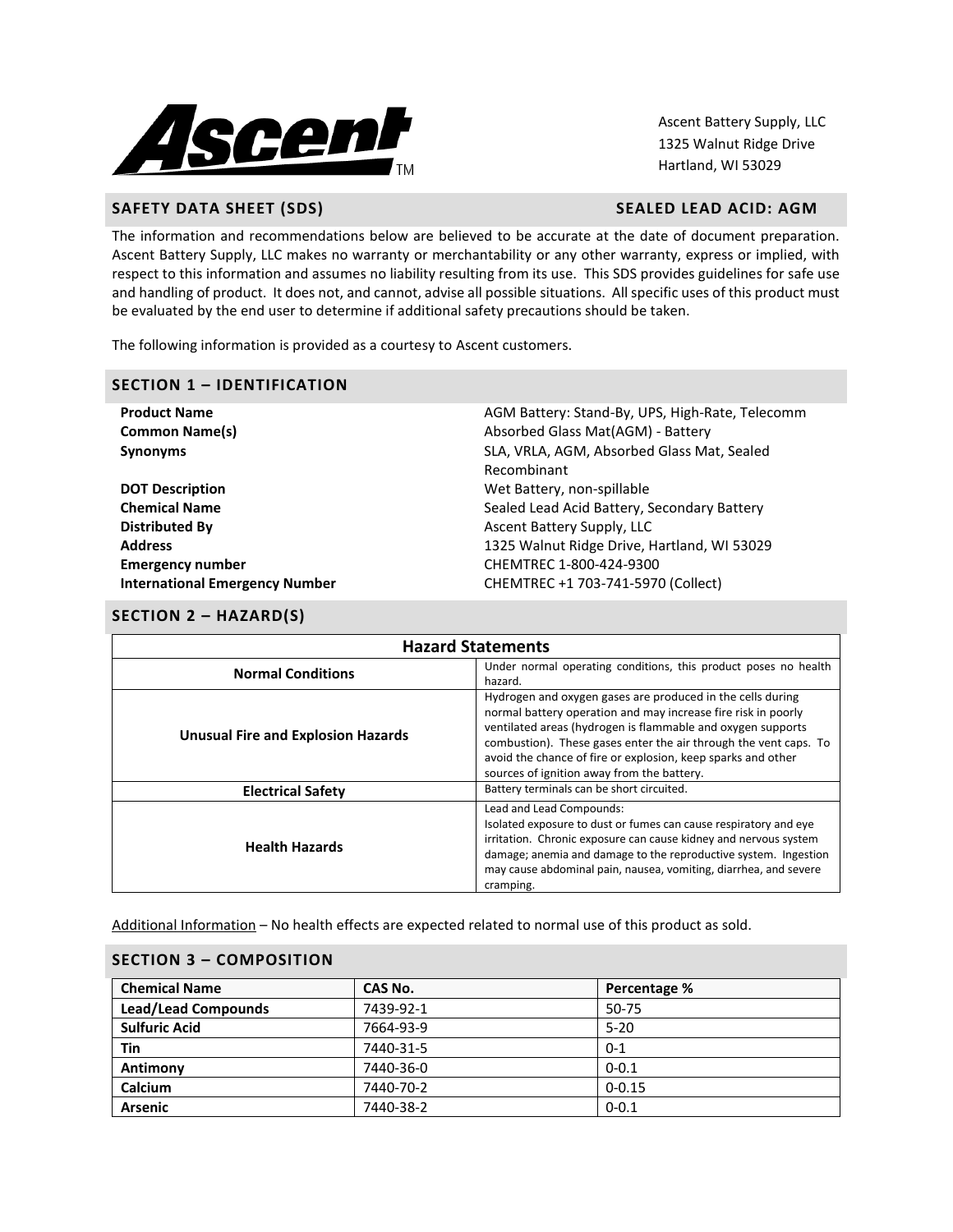

Ascent Battery Supply, LLC 1325 Walnut Ridge Drive Hartland, WI 53029

# **SAFETY DATA SHEET (SDS)** SAFETY DATA SHEET (SDS)

The information and recommendations below are believed to be accurate at the date of document preparation. Ascent Battery Supply, LLC makes no warranty or merchantability or any other warranty, express or implied, with respect to this information and assumes no liability resulting from its use. This SDS provides guidelines for safe use and handling of product. It does not, and cannot, advise all possible situations. All specific uses of this product must be evaluated by the end user to determine if additional safety precautions should be taken.

The following information is provided as a courtesy to Ascent customers.

#### **SECTION 1 – IDENTIFICATION**

| <b>Product Name</b>                   | AGM Battery: Stand-By, UPS, High-Rate, Telecomm |
|---------------------------------------|-------------------------------------------------|
| <b>Common Name(s)</b>                 | Absorbed Glass Mat(AGM) - Battery               |
| <b>Synonyms</b>                       | SLA, VRLA, AGM, Absorbed Glass Mat, Sealed      |
|                                       | Recombinant                                     |
| <b>DOT Description</b>                | Wet Battery, non-spillable                      |
| <b>Chemical Name</b>                  | Sealed Lead Acid Battery, Secondary Battery     |
| <b>Distributed By</b>                 | Ascent Battery Supply, LLC                      |
| <b>Address</b>                        | 1325 Walnut Ridge Drive, Hartland, WI 53029     |
| <b>Emergency number</b>               | CHEMTREC 1-800-424-9300                         |
| <b>International Emergency Number</b> | CHEMTREC +1 703-741-5970 (Collect)              |
|                                       |                                                 |

# **SECTION 2 – HAZARD(S)**

| <b>Hazard Statements</b>                                                                               |                                                                                                                                                                                                                                                                                                                                                                              |  |  |  |
|--------------------------------------------------------------------------------------------------------|------------------------------------------------------------------------------------------------------------------------------------------------------------------------------------------------------------------------------------------------------------------------------------------------------------------------------------------------------------------------------|--|--|--|
| Under normal operating conditions, this product poses no health<br><b>Normal Conditions</b><br>hazard. |                                                                                                                                                                                                                                                                                                                                                                              |  |  |  |
| Unusual Fire and Explosion Hazards                                                                     | Hydrogen and oxygen gases are produced in the cells during<br>normal battery operation and may increase fire risk in poorly<br>ventilated areas (hydrogen is flammable and oxygen supports<br>combustion). These gases enter the air through the vent caps. To<br>avoid the chance of fire or explosion, keep sparks and other<br>sources of ignition away from the battery. |  |  |  |
| <b>Electrical Safety</b>                                                                               | Battery terminals can be short circuited.                                                                                                                                                                                                                                                                                                                                    |  |  |  |
| <b>Health Hazards</b>                                                                                  | Lead and Lead Compounds:<br>Isolated exposure to dust or fumes can cause respiratory and eye<br>irritation. Chronic exposure can cause kidney and nervous system<br>damage; anemia and damage to the reproductive system. Ingestion<br>may cause abdominal pain, nausea, vomiting, diarrhea, and severe<br>cramping.                                                         |  |  |  |

Additional Information – No health effects are expected related to normal use of this product as sold.

| <b>SECTION 3 - COMPOSITION</b> |           |              |  |  |
|--------------------------------|-----------|--------------|--|--|
| <b>Chemical Name</b>           | CAS No.   | Percentage % |  |  |
| <b>Lead/Lead Compounds</b>     | 7439-92-1 | 50-75        |  |  |
| <b>Sulfuric Acid</b>           | 7664-93-9 | $5 - 20$     |  |  |
| Tin                            | 7440-31-5 | $0 - 1$      |  |  |
| Antimony                       | 7440-36-0 | $0 - 0.1$    |  |  |
| Calcium                        | 7440-70-2 | $0 - 0.15$   |  |  |
| <b>Arsenic</b>                 | 7440-38-2 | $0 - 0.1$    |  |  |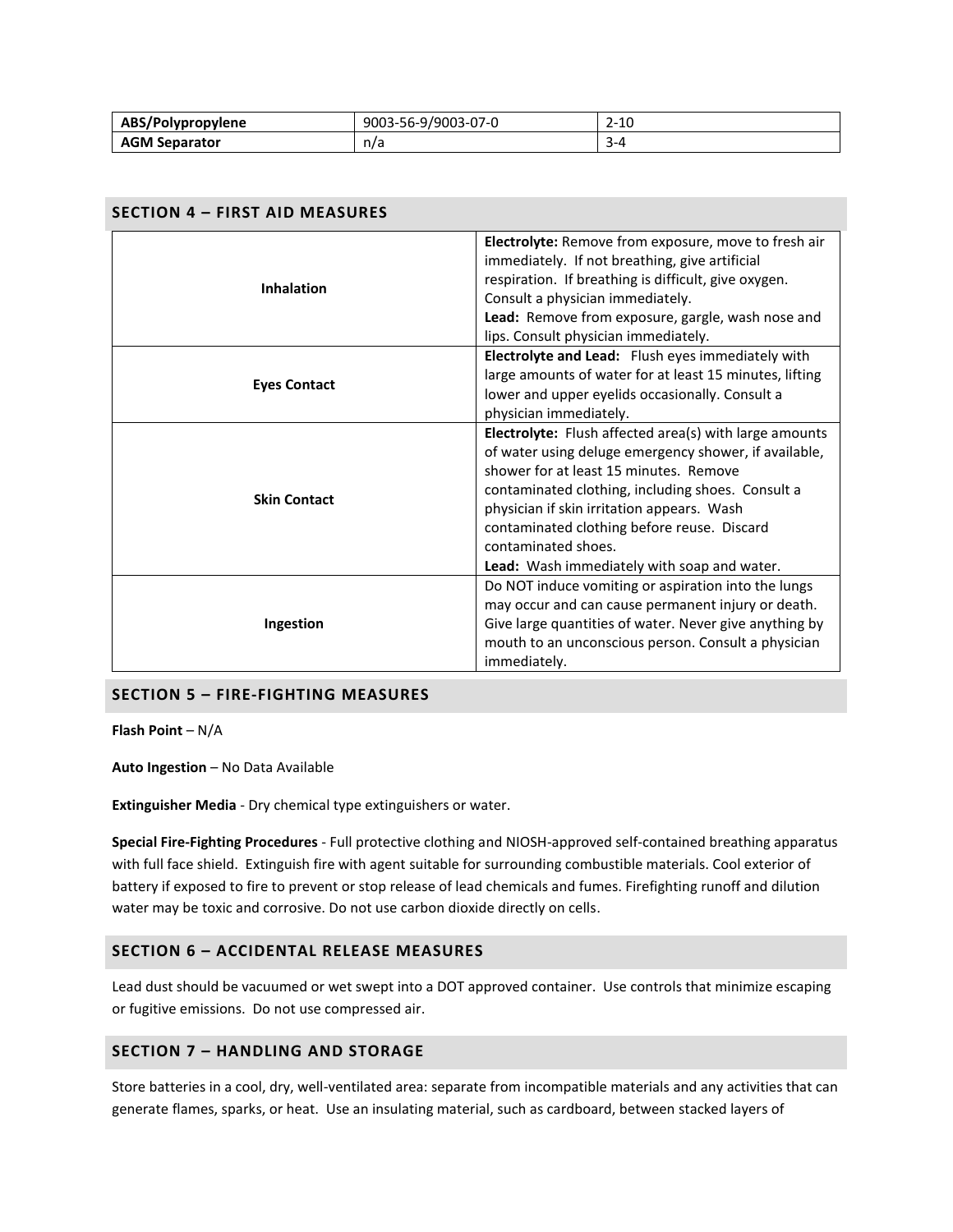| ABS/Polypropylene    | 9003-56-9/9003-07-0 | 2-10 |
|----------------------|---------------------|------|
| <b>AGM Separator</b> | n/a                 | ---  |

| <b>SECTION 4 - FIRST AID MEASURES</b> |                                                                                                                                                                                                                                                                                                                                                                                   |  |  |  |
|---------------------------------------|-----------------------------------------------------------------------------------------------------------------------------------------------------------------------------------------------------------------------------------------------------------------------------------------------------------------------------------------------------------------------------------|--|--|--|
| <b>Inhalation</b>                     | Electrolyte: Remove from exposure, move to fresh air<br>immediately. If not breathing, give artificial<br>respiration. If breathing is difficult, give oxygen.<br>Consult a physician immediately.<br>Lead: Remove from exposure, gargle, wash nose and<br>lips. Consult physician immediately.                                                                                   |  |  |  |
| <b>Eyes Contact</b>                   | Electrolyte and Lead: Flush eyes immediately with<br>large amounts of water for at least 15 minutes, lifting<br>lower and upper eyelids occasionally. Consult a<br>physician immediately.                                                                                                                                                                                         |  |  |  |
| <b>Skin Contact</b>                   | Electrolyte: Flush affected area(s) with large amounts<br>of water using deluge emergency shower, if available,<br>shower for at least 15 minutes. Remove<br>contaminated clothing, including shoes. Consult a<br>physician if skin irritation appears. Wash<br>contaminated clothing before reuse. Discard<br>contaminated shoes.<br>Lead: Wash immediately with soap and water. |  |  |  |
| Ingestion                             | Do NOT induce vomiting or aspiration into the lungs<br>may occur and can cause permanent injury or death.<br>Give large quantities of water. Never give anything by<br>mouth to an unconscious person. Consult a physician<br>immediately.                                                                                                                                        |  |  |  |

# **SECTION 5 – FIRE-FIGHTING MEASURES**

**Flash Point** – N/A

**Auto Ingestion** – No Data Available

**Extinguisher Media** - Dry chemical type extinguishers or water.

**Special Fire-Fighting Procedures** - Full protective clothing and NIOSH-approved self-contained breathing apparatus with full face shield. Extinguish fire with agent suitable for surrounding combustible materials. Cool exterior of battery if exposed to fire to prevent or stop release of lead chemicals and fumes. Firefighting runoff and dilution water may be toxic and corrosive. Do not use carbon dioxide directly on cells.

# **SECTION 6 – ACCIDENTAL RELEASE MEASURES**

Lead dust should be vacuumed or wet swept into a DOT approved container. Use controls that minimize escaping or fugitive emissions. Do not use compressed air.

# **SECTION 7 – HANDLING AND STORAGE**

Store batteries in a cool, dry, well-ventilated area: separate from incompatible materials and any activities that can generate flames, sparks, or heat. Use an insulating material, such as cardboard, between stacked layers of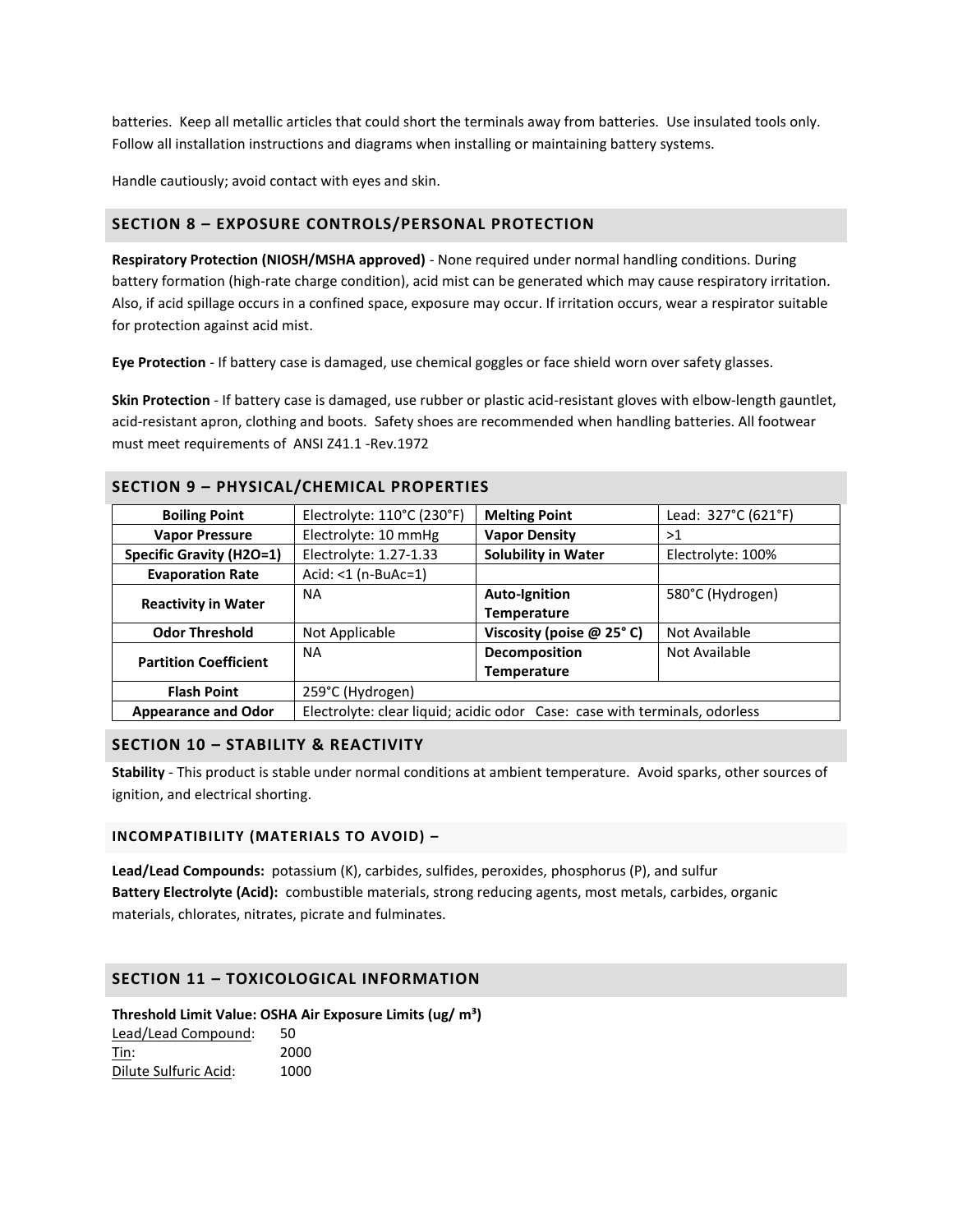batteries. Keep all metallic articles that could short the terminals away from batteries. Use insulated tools only. Follow all installation instructions and diagrams when installing or maintaining battery systems.

Handle cautiously; avoid contact with eyes and skin.

# **SECTION 8 – EXPOSURE CONTROLS/PERSONAL PROTECTION**

**Respiratory Protection (NIOSH/MSHA approved)** - None required under normal handling conditions. During battery formation (high-rate charge condition), acid mist can be generated which may cause respiratory irritation. Also, if acid spillage occurs in a confined space, exposure may occur. If irritation occurs, wear a respirator suitable for protection against acid mist.

**Eye Protection** - If battery case is damaged, use chemical goggles or face shield worn over safety glasses.

**Skin Protection** - If battery case is damaged, use rubber or plastic acid-resistant gloves with elbow-length gauntlet, acid-resistant apron, clothing and boots. Safety shoes are recommended when handling batteries. All footwear must meet requirements of ANSI Z41.1 -Rev.1972

| SECTION 9 – PHYSICAL/CHEMICAL PROPERTIES |                                                                            |                            |                     |
|------------------------------------------|----------------------------------------------------------------------------|----------------------------|---------------------|
| <b>Boiling Point</b>                     | Electrolyte: 110°C (230°F)                                                 | <b>Melting Point</b>       | Lead: 327°C (621°F) |
| <b>Vapor Pressure</b>                    | Electrolyte: 10 mmHg                                                       | <b>Vapor Density</b>       | >1                  |
| <b>Specific Gravity (H2O=1)</b>          | Electrolyte: 1.27-1.33                                                     | <b>Solubility in Water</b> | Electrolyte: 100%   |
| <b>Evaporation Rate</b>                  | $Acid: <1 (n-BuAc=1)$                                                      |                            |                     |
| <b>Reactivity in Water</b>               | <b>NA</b>                                                                  | <b>Auto-Ignition</b>       | 580°C (Hydrogen)    |
|                                          |                                                                            | <b>Temperature</b>         |                     |
| <b>Odor Threshold</b>                    | Not Applicable                                                             | Viscosity (poise @ 25°C)   | Not Available       |
| <b>Partition Coefficient</b>             | <b>NA</b>                                                                  | Decomposition              | Not Available       |
|                                          |                                                                            | <b>Temperature</b>         |                     |
| <b>Flash Point</b>                       | 259°C (Hydrogen)                                                           |                            |                     |
| <b>Appearance and Odor</b>               | Electrolyte: clear liquid; acidic odor Case: case with terminals, odorless |                            |                     |

# **SECTION 9 – PHYSICAL/CHEMICAL PROPERTIES**

# **SECTION 10 – STABILITY & REACTIVITY**

**Stability** - This product is stable under normal conditions at ambient temperature. Avoid sparks, other sources of ignition, and electrical shorting.

# **INCOMPATIBILITY (MATERIALS TO AVOID) –**

**Lead/Lead Compounds:** potassium (K), carbides, sulfides, peroxides, phosphorus (P), and sulfur **Battery Electrolyte (Acid):** combustible materials, strong reducing agents, most metals, carbides, organic materials, chlorates, nitrates, picrate and fulminates.

# **SECTION 11 – TOXICOLOGICAL INFORMATION**

**Threshold Limit Value: OSHA Air Exposure Limits (ug/ m³)**

| Lead/Lead Compound:   | 50   |
|-----------------------|------|
| Tin:                  | 2000 |
| Dilute Sulfuric Acid: | 1000 |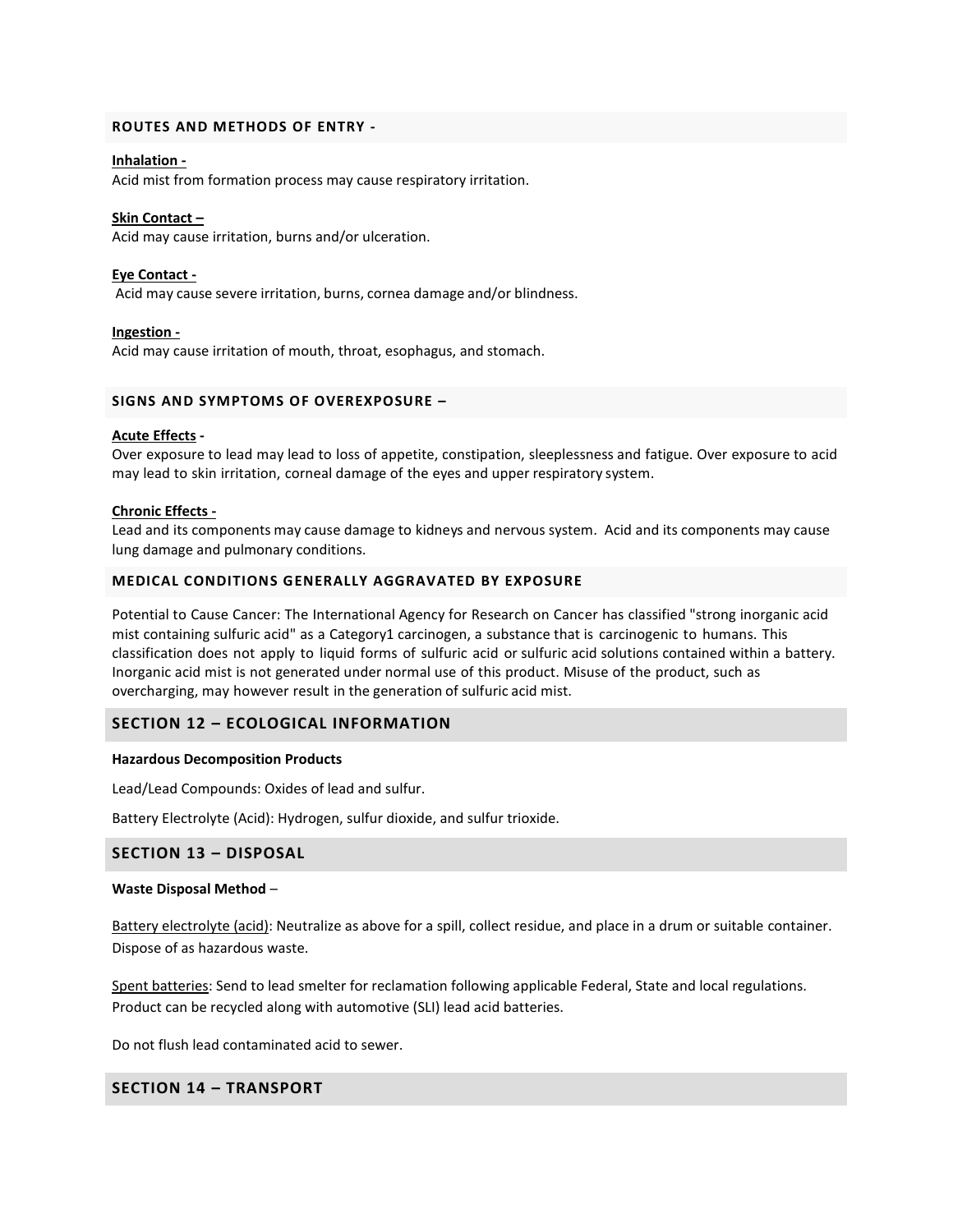#### **ROUTES AND METHODS OF ENTRY -**

#### **Inhalation -**

Acid mist from formation process may cause respiratory irritation.

#### **Skin Contact –**

Acid may cause irritation, burns and/or ulceration.

#### **Eye Contact -**

Acid may cause severe irritation, burns, cornea damage and/or blindness.

#### **Ingestion -**

Acid may cause irritation of mouth, throat, esophagus, and stomach.

### **SIGNS AND SYMPTOMS OF OVEREXPOSURE –**

#### **Acute Effects -**

Over exposure to lead may lead to loss of appetite, constipation, sleeplessness and fatigue. Over exposure to acid may lead to skin irritation, corneal damage of the eyes and upper respiratory system.

#### **Chronic Effects -**

Lead and its components may cause damage to kidneys and nervous system. Acid and its components may cause lung damage and pulmonary conditions.

### **MEDICAL CONDITIONS GENERALLY AGGRAVATED BY EXPOSURE**

Potential to Cause Cancer: The International Agency for Research on Cancer has classified "strong inorganic acid mist containing sulfuric acid" as a Category1 carcinogen, a substance that is carcinogenic to humans. This classification does not apply to liquid forms of sulfuric acid or sulfuric acid solutions contained within a battery. Inorganic acid mist is not generated under normal use of this product. Misuse of the product, such as overcharging, may however result in the generation of sulfuric acid mist.

# **SECTION 12 – ECOLOGICAL INFORMATION**

#### **Hazardous Decomposition Products**

Lead/Lead Compounds: Oxides of lead and sulfur.

Battery Electrolyte (Acid): Hydrogen, sulfur dioxide, and sulfur trioxide.

#### **SECTION 13 – DISPOSAL**

#### **Waste Disposal Method** –

Battery electrolyte (acid): Neutralize as above for a spill, collect residue, and place in a drum or suitable container. Dispose of as hazardous waste.

Spent batteries: Send to lead smelter for reclamation following applicable Federal, State and local regulations. Product can be recycled along with automotive (SLI) lead acid batteries.

Do not flush lead contaminated acid to sewer.

# **SECTION 14 – TRANSPORT**